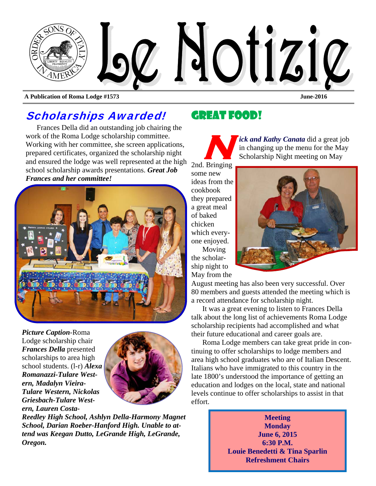

**A Publication of Roma Lodge #1573 June-2016** 

## Scholarships Awarded!

Frances Della did an outstanding job chairing the work of the Roma Lodge scholarship committee. Working with her committee, she screen applications, prepared certificates, organized the scholarship night and ensured the lodge was well represented at the high school scholarship awards presentations. *Great Job Frances and her committee!* 



*Picture Caption*-Roma Lodge scholarship chair *Frances Della* presented scholarships to area high school students. (l-r) *Alexa Romanazzi-Tulare Western, Madalyn Vieira-Tulare Western, Nickolas Griesbach-Tulare Western, Lauren Costa-*



*Reedley High School, Ashlyn Della-Harmony Magnet School, Darian Roeber-Hanford High. Unable to attend was Keegan Dutto, LeGrande High, LeGrande, Oregon.* 

## Great Food!

*ick and Kathy Canata* did a great job in changing up the menu for the May Scholarship Night meeting on May 2nd. Bringing

some new ideas from the cookbook they prepared a great meal of baked chicken which everyone enjoyed. Moving

the scholarship night to May from the

in changing up the menu for the May Scholarship Night meeting on May

August meeting has also been very successful. Over 80 members and guests attended the meeting which is a record attendance for scholarship night.

It was a great evening to listen to Frances Della talk about the long list of achievements Roma Lodge scholarship recipients had accomplished and what their future educational and career goals are.

Roma Lodge members can take great pride in continuing to offer scholarships to lodge members and area high school graduates who are of Italian Descent. Italians who have immigrated to this country in the late 1800's understood the importance of getting an education and lodges on the local, state and national levels continue to offer scholarships to assist in that effort.

> **Meeting Monday June 6, 2015 6:30 P.M. Louie Benedetti & Tina Sparlin Refreshment Chairs**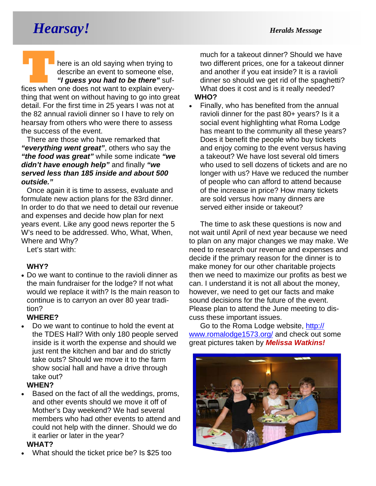## *Hearsay! Heralds Message*

**T THE READ FIRE IS AN ORIGINAL STATE OF A THE READ FIRE A SUBSET OF THE SAMPLE STATE OF THE SUBSTITUTE OF THE SUBSTITUTE OF THE SUBSTITUTE OF THE SUBSTITUTE OF THE SUBSTITUTE OF THE SUBSTITUTE OF THE SUBSTITUTE OF THE SUB** describe an event to someone else, *"I guess you had to be there"* sufthing that went on without having to go into great detail. For the first time in 25 years I was not at the 82 annual ravioli dinner so I have to rely on hearsay from others who were there to assess the success of the event.

There are those who have remarked that *"everything went great"*, others who say the *"the food was great"* while some indicate *"we didn't have enough help"* and finally *"we served less than 185 inside and about 500 outside."* 

Once again it is time to assess, evaluate and formulate new action plans for the 83rd dinner. In order to do that we need to detail our revenue and expenses and decide how plan for next years event. Like any good news reporter the 5 W's need to be addressed. Who, What, When, Where and Why?

Let's start with:

#### **WHY?**

 Do we want to continue to the ravioli dinner as the main fundraiser for the lodge? If not what would we replace it with? Is the main reason to continue is to carryon an over 80 year tradition?

#### **WHERE?**

 Do we want to continue to hold the event at the TDES Hall? With only 180 people served inside is it worth the expense and should we just rent the kitchen and bar and do strictly take outs? Should we move it to the farm show social hall and have a drive through take out?

#### **WHEN?**

 Based on the fact of all the weddings, proms, and other events should we move it off of Mother's Day weekend? We had several members who had other events to attend and could not help with the dinner. Should we do it earlier or later in the year?

#### **WHAT?**

What should the ticket price be? Is \$25 too

much for a takeout dinner? Should we have two different prices, one for a takeout dinner and another if you eat inside? It is a ravioli dinner so should we get rid of the spaghetti? What does it cost and is it really needed?

#### **WHO?**

• Finally, who has benefited from the annual ravioli dinner for the past 80+ years? Is it a social event highlighting what Roma Lodge has meant to the community all these years? Does it benefit the people who buy tickets and enjoy coming to the event versus having a takeout? We have lost several old timers who used to sell dozens of tickets and are no longer with us? Have we reduced the number of people who can afford to attend because of the increase in price? How many tickets are sold versus how many dinners are served either inside or takeout?

The time to ask these questions is now and not wait until April of next year because we need to plan on any major changes we may make. We need to research our revenue and expenses and decide if the primary reason for the dinner is to make money for our other charitable projects then we need to maximize our profits as best we can. I understand it is not all about the money, however, we need to get our facts and make sound decisions for the future of the event. Please plan to attend the June meeting to discuss these important issues.

Go to the Roma Lodge website, http:// www.romalodge1573.org/ and check out some great pictures taken by *Melissa Watkins!* 

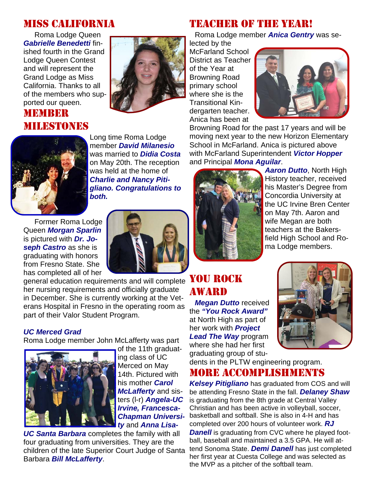## MISS CALIFORNIA

Roma Lodge Queen *Gabrielle Benedetti* finished fourth in the Grand Lodge Queen Contest and will represent the Grand Lodge as Miss California. Thanks to all of the members who supported our queen.

### MEMBER MILESTONES



TEACHER OF THE YEAR!

Roma Lodge member *Anica Gentry* was se-

lected by the McFarland School District as Teacher of the Year at Browning Road primary school where she is the Transitional Kindergarten teacher. Anica has been at



Browning Road for the past 17 years and will be moving next year to the new Horizon Elementary School in McFarland. Anica is pictured above with McFarland Superintendent *Victor Hopper*  and Principal *Mona Aguilar*.



Long time Roma Lodge member *David Milanesio*  was married to *Didia Costa*  on May 20th. The reception was held at the home of *Charlie and Nancy Pitigliano. Congratulations to both.* 

Former Roma Lodge Queen *Morgan Sparlin* is pictured with *Dr. Joseph Castro* as she is graduating with honors from Fresno State. She has completed all of her



 $\frac{1}{100}$  completed all of hole. her nursing requirements and officially graduate in December. She is currently working at the Veterans Hospital in Fresno in the operating room as part of their Valor Student Program.

#### *UC Merced Grad*

Roma Lodge member John McLafferty was part



of the 11th graduating class of UC Merced on May 14th. Pictured with his mother *Carol McLafferty* and sisters (l-r) *Angela-UC Irvine, Francesca-Chapman University* and *Anna Lisa-*

*UC Santa Barbara* completes the family with all four graduating from universities. They are the children of the late Superior Court Judge of Santa Barbara *Bill McLafferty*.



*Aaron Dutto*, North High History teacher, received his Master's Degree from Concordia University at the UC Irvine Bren Center on May 7th. Aaron and wife Megan are both teachers at the Bakersfield High School and Roma Lodge members.

# AWARD

*Megan Dutto* received the *"You Rock Award"*  at North High as part of her work with *Project Lead The Way* program where she had her first graduating group of stu-



#### dents in the PLTW engineering program. MORE ACCOMPLISHMENTS

*Kelsey Pitigliano* has graduated from COS and will be attending Fresno State in the fall. *Delaney Shaw*  is graduating from the 8th grade at Central Valley Christian and has been active in volleyball, soccer, basketball and softball. She is also in 4-H and has completed over 200 hours of volunteer work. *RJ Danell* is graduating from CVC where he played football, baseball and maintained a 3.5 GPA. He will attend Sonoma State. *Demi Danell* has just completed her first year at Cuesta College and was selected as the MVP as a pitcher of the softball team.